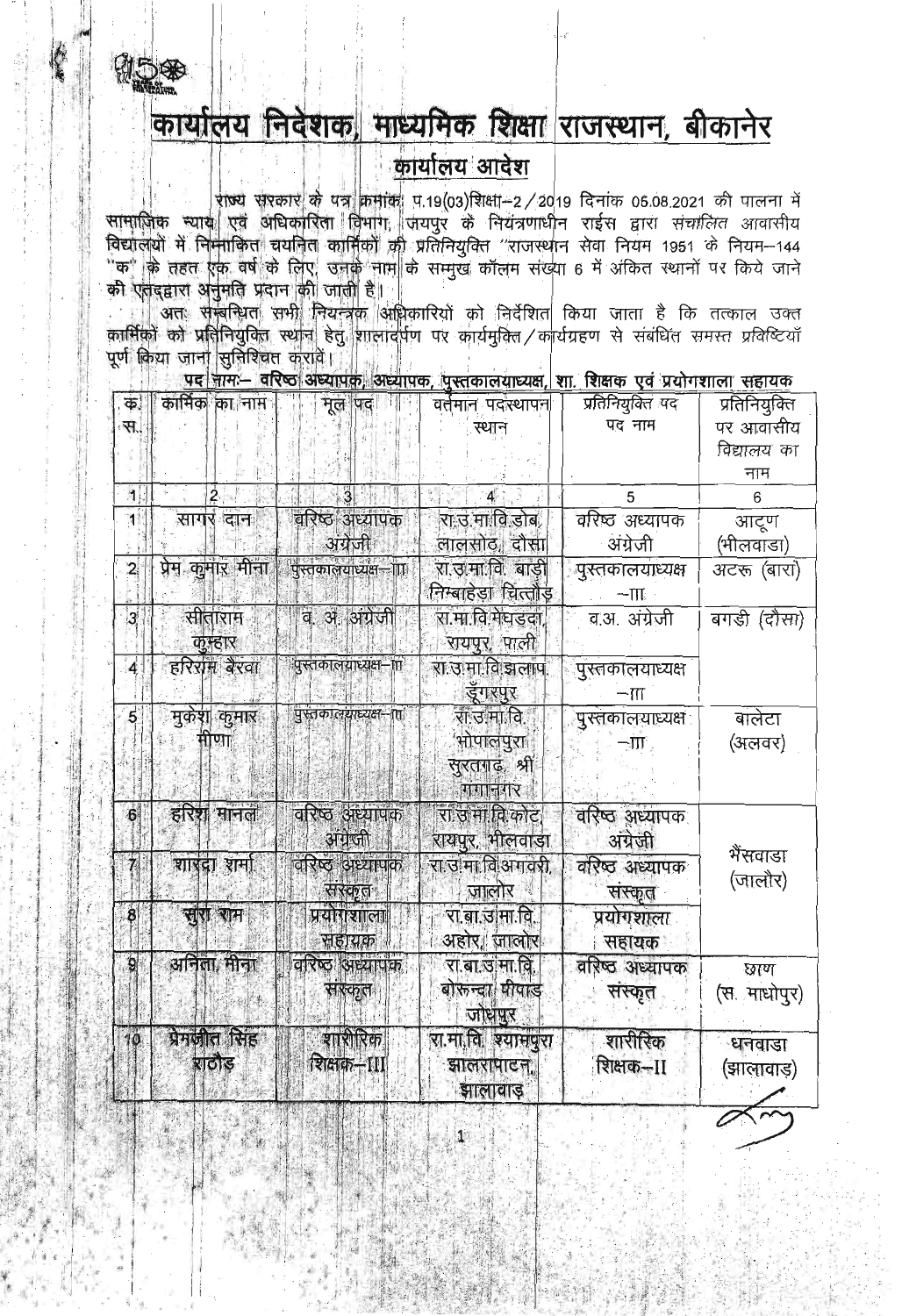

## कार्यालय निर्वेशक, माध्यमिक शिक्षा राजस्थान, बीकानेर

## कार्यालय आदेश

राज्य सरकार के पत्र क्रमांक प.19(03)शिक्षा-2/2019 दिनांक 05.08.2021 की पालना में<br>सामाजिक स्याय एवं अधिकारिता विभाग, जयपुर के नियंत्रणाधीन राईस द्वारा संचालित आवासीय विद्यालयों में निनाकित चयनित कार्मिकों की प्रतिनियुक्ति "राजस्थान सेवा नियम 1951 के नियम-144 ेक" के तहत एक वर्ष के लिए, उनके नाम के सम्मुख कॉलम संख्या 6 में अंकित स्थानों पर किये जाने<br>"क" के तहत एक वर्ष के लिए, उनके नाम के सम्मुख कॉलम संख्या 6 में अंकित स्थानों पर किये जाने<br>की एतद्द्वारा अनुमति प्रदान की जाती है।

ं अतः सम्बन्धित सभी नियन्त्रक अधिकारियों को निर्देशित किया जाता है कि तत्काल उक्त<br>कार्मिकों को प्रतिनियुक्ति स्थान हेतु शालादर्पण पर कार्यमुक्ति / कार्यग्रहण से संबंधित समस्त प्रविष्टियाँ पूर्ण किया जाना सुनिश्चित करावें।

पद नाम वरिष्ठ अध्यापक अध्यापक, पुस्तकालयाध्यक्ष, शा, शिक्षक एवं प्रयोगशाला सहायक

| Ф.             | कार्मिक का नाम   | मूल पद।                 | वर्तमान पदारथापन    | प्रतिनियुक्ति पद         | प्रतिनियुक्ति |
|----------------|------------------|-------------------------|---------------------|--------------------------|---------------|
| स.,            |                  |                         | स्थान               | पद नाम                   | पर आवासीय     |
|                |                  |                         |                     |                          | विद्यालय का   |
|                |                  |                         |                     |                          | नाम           |
| $\mathbf{1}$   |                  |                         | $\mathbf{4}$        | 5                        | 6             |
| 1              | सागर दान         | वरिष्ठ अध्यापक          | रा उ.मा.वि.डोब,     | वरिष्ठ अध्यापक           | आटूण          |
|                |                  | अंग्रेजी                | लालसोठ, दौसा        | अंग्रेजी                 | (भीलवाडा)     |
| $\overline{2}$ | प्रेम कुमार मीना | पुस्तकालयाध्यक्ष—ा∏     | रा उमा वि. बाड़ी    | <u>गु</u> स्तकालयाध्यक्ष | अटरू (बारा)   |
|                |                  |                         | निम्बाहेडा चित्तौड़ | $-\boldsymbol{\Pi}$      |               |
| $\overline{3}$ | सीताराम          | व. अ. अंग्रेजी          | रा मा.वि.मेघडदा     | व.अ. अंग्रेजी            | बगडी (दौसा)   |
|                | कम्हार           |                         | रायपुर, पाली        |                          |               |
| $\overline{4}$ | हरिराम बैरवा     | .<br>पुस्तकालयाध्यक्ष—π | रा उ मा वि झलाप     | पुस्तकालयाध्यक्ष         |               |
|                |                  |                         | ङ्गरपुर             | $-\mathrm{III}$          |               |
| $\overline{5}$ | मुकेश कुमार      | पुस्तकालयाध्यक्ष–ात     | रा उ.मा.वि.         | पुरत्तकालयाध्यक्ष        | बालेटा        |
|                | मोणा             |                         | भोपालपुरा           | $-\Pi$ ,                 | (अलवर)        |
|                |                  |                         | सुरतगढ़, श्री       |                          |               |
|                |                  |                         | गंगानगर             |                          |               |
| 6 <sup>1</sup> | हरिश मानल        | वरिष्ठ अध्यापक          | रा उ मा.वि.कोट      | वरिष्ठ अध्यापक           |               |
|                |                  | अंग्रेजी                | रायपुर, भीलवाड़ा    | अंग्रेजी                 |               |
| $\overline{7}$ | शारदा शर्मा      | वरिष्ठ अध्यापक          | रा उ.मा.वि.अगवरी,   | वरिष्ठ अध्यापक           | भैंसवाडा      |
|                |                  | सरकृत                   | जालोर               | संस्कृत                  | (जालौर)       |
| 8              | सरा राम          | प्रयोगशाला              | रा.बा.उ.मा.वि.      | प्रयोगशाला               |               |
|                |                  | सहायक                   | अहोर, जालोर         |                          |               |
| 9              | अनिला, मीना      | वरिष्ठ अध्यापक          |                     | सहायक                    |               |
|                |                  |                         | रा.बा.उ.मा.वि.      | वरिष्ठ अध्यापक           | छाण           |
|                |                  | सारकृत                  | बोरुन्दा पीपाड      | संस्कृत                  | (स. माधोपुर)  |
|                |                  |                         | जोधपुर              |                          |               |
| 10             | प्रेमजील सिंह    | शाशेरिक                 | रा.मा.वि. श्यामपुरा | शारीरिक                  | धनवाडा        |
|                | शठोड             | शिक्षक-III              | झालरापाटन           | शिक्षक--II               | (झालावाड़)    |
|                |                  |                         | झालावाड़            |                          |               |
|                |                  |                         |                     |                          |               |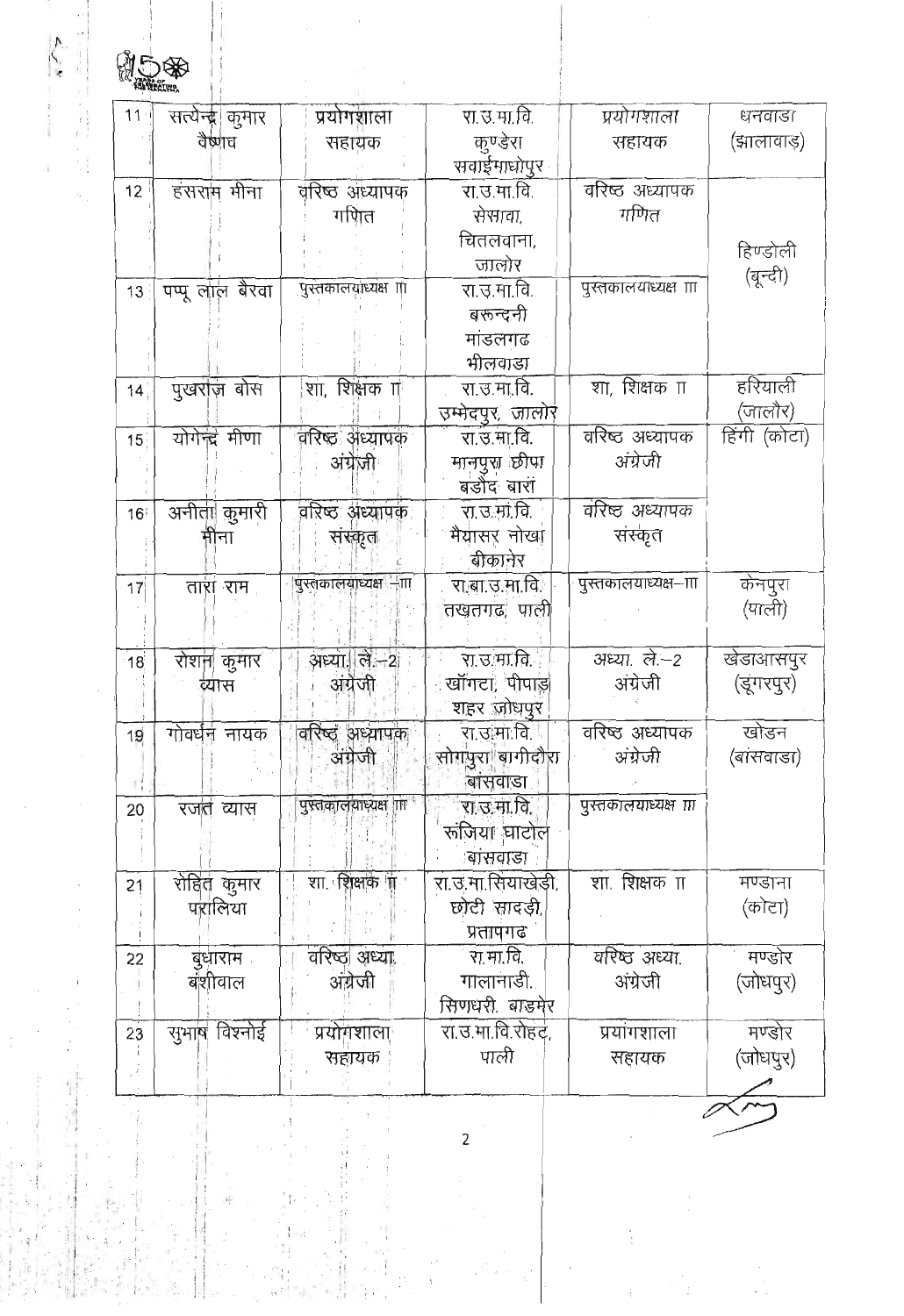| 15\$            |                   |                      |                            |                          |              |
|-----------------|-------------------|----------------------|----------------------------|--------------------------|--------------|
|                 |                   |                      |                            |                          |              |
| 11              | सत्येन्द्र। कुमार | प्रयोगशाला           | रा.उ.मा.वि.                | प्रयोगशाला               | धनवाडा       |
|                 | वैष्णव            | सहायक                | कुण्डेरा                   | सहायक                    | (झालावाड)    |
|                 |                   |                      | सवाईमाधोपुर                |                          |              |
| 12              | हंसराम मीना       | वरिष्ठ अध्यापक       | रा.उ.मा.वि.                | वरिष्ठ अध्यापक           |              |
|                 |                   | गणित                 | सेसावा,                    | गणित                     |              |
|                 |                   |                      | चितलवाना,                  |                          | हिण्डोली     |
|                 |                   | पुरतकालयाध्यक्ष ॥    | जालोर                      | पुरतकालयाध्यक्ष ॥        | (बून्दी)     |
| 13              | पप्पू लाल बैरवा   |                      | रा.उ.मा.वि.<br>बरून्दनी    |                          |              |
|                 |                   |                      | मांडलगढ                    |                          |              |
|                 |                   |                      | भीलवाडा                    |                          |              |
| 14              | पुखराज बोस        | शा, शिक्षक ग         | रा.उ.मा.वि.                | शा, शिक्षक π             | हरियाली      |
|                 |                   |                      | उम्मेदपुर, जालोर           |                          | (जालौर)      |
| 15 <sub>1</sub> | योगेन्द्र मीणा    | वरिष्ठ अध्यापक       | रा.उ.मा.वि.                | वरिष्ठ अध्यापक           | हिंगी (कोटा) |
|                 |                   | अंग्रेज़ी            | मानपुरा छीपा               | अंग्रेजी                 |              |
|                 |                   |                      | बडौद बारां                 |                          |              |
| 16              | अनीता कुमारी      | वरिष्ठ अध्यापक       | रा.उ.मा.वि.                | वरिष्ट अध्यापक           |              |
|                 | मीना              | सरकृत                | मैयासर नोखा                | संस्कृत                  |              |
|                 |                   |                      | बीकानेर                    |                          |              |
| 17              | तारा राम          | पुस्तकालयाध्यक्ष –ाा | रा बा.उ.मा.वि.             | पुस्तकालयाध्यक्ष–ााा     | केनपुरा      |
|                 |                   |                      | तखतगढ, पाली                |                          | (पाली)       |
|                 |                   |                      |                            |                          |              |
| 18              | रोशन  कुमार       | अध्या ले—2           | रा उ मा वि                 | अध्या. ले.–2<br>अंग्रेजी | खेडाआसपुर    |
|                 | व्यास             | अंग्रेजी             | खॉगटा, पीपाड़              |                          | (डूंगरपुर)   |
| 19              | गोवर्धनं नायक     | वरिष्ट अध्यापक       | शहर ज़ोधपुर<br>रा.उ.मा.वि. | वरिष्ठ अध्यापक           | खोडन         |
|                 |                   | अंग्रेजी             | सोगपुरा बागीदौरा           | अंग्रेजी                 | (बांसवाडा)   |
|                 |                   |                      | बासवाडा                    |                          |              |
| 20              | रजतं व्यास        | पुस्तकालयाध्यक्ष ।ाा | रा.उ.मा.वि.                | पुरतकालयाध्यक्ष गा       |              |
|                 |                   |                      | रूजिया घाटोल               |                          |              |
|                 |                   |                      | बांसवाडा                   |                          |              |
| 21              | रोहित कुमार       | शा. शिक्षक गा        | रा.उ.मा.सियाखेड़ी,         | शा. शिक्षक π             | मण्डाना      |
|                 | परालिया           |                      | छोटी सादड़ी,               |                          | (कोटा)       |
|                 |                   |                      | प्रतापगढ                   |                          |              |
| 22              | बुधाराम           | वरिष्ठ  अध्या        | रा मा.वि.                  | वरिष्ठ अध्या.            | मण्डोर       |
|                 | बंशीवाल           | अंग्रेजी             | गालानाडी.                  | अंग्रेजी                 | (जोधपुर)     |
|                 |                   |                      | सिणधरी बाडमेर              |                          |              |
| 23              | सुभाष विश्नोई     | प्रयोगशाला           | रा.उ.मा.वि.रोहदं,          | प्रयांगशाला              | मण्डोर       |
|                 |                   | सहायक                | पाली                       | सहायक                    | (जोधपुर)     |
|                 |                   |                      |                            |                          |              |

**Service Service** 

计时时计算机

Ĩ.

 $\frac{1}{\sqrt{2}}$ 

 $\overline{c}$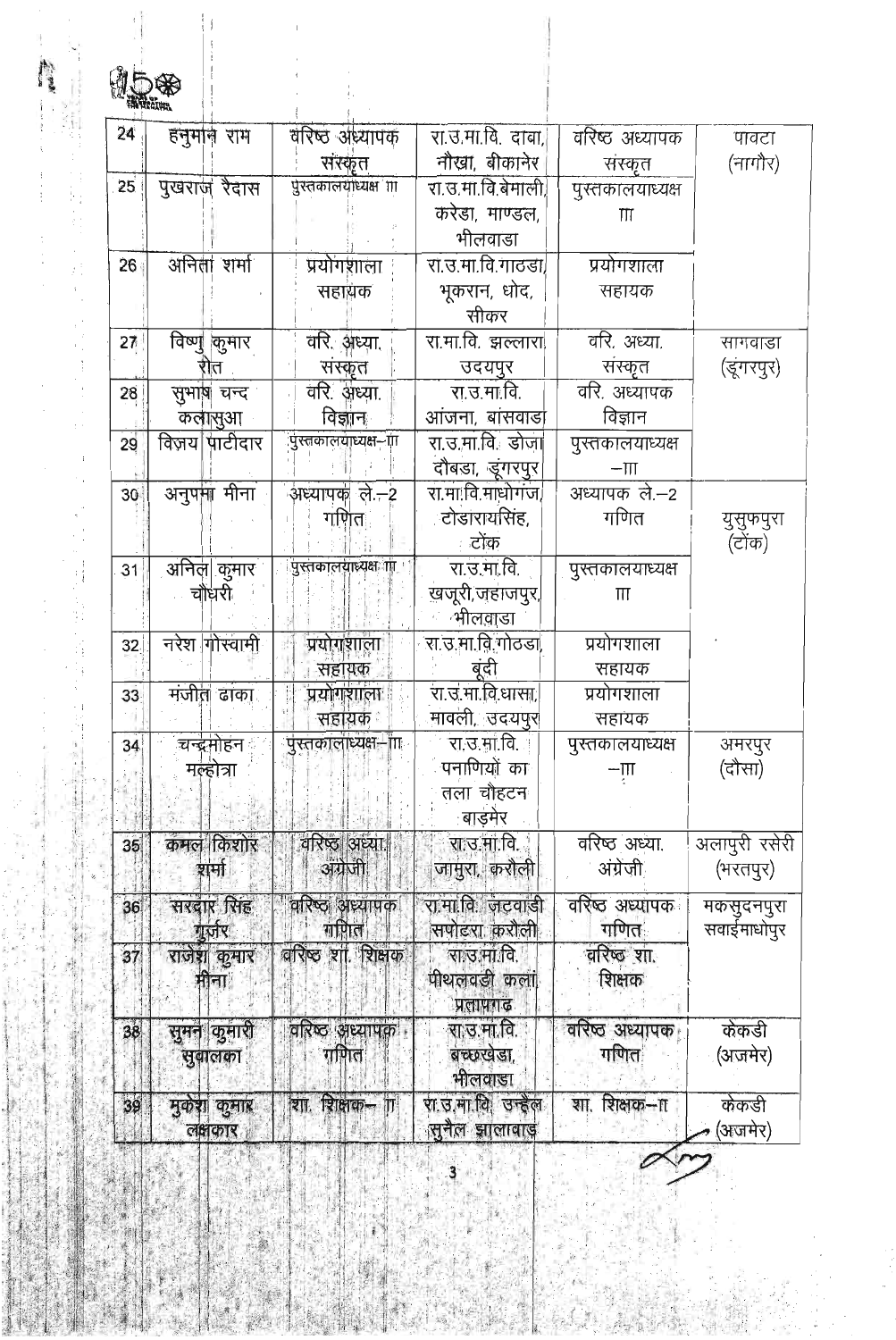| 24 | हनुमान राम    | वरिष्ठ अध्यापक              | रा.उ.मा.वि. दावा,  | वरिष्ट अध्यापक                                           | पावटा         |
|----|---------------|-----------------------------|--------------------|----------------------------------------------------------|---------------|
|    |               | संस्कृत                     | नौखा, बीकानेर      | संस्कृत                                                  | (नागौर)       |
| 25 | पुखराज रैदास  | पुरतकालयाध्यक्ष ॥           | रा.उ.मा.वि.बेमाली, | पुस्तकालयाध्यक्ष                                         |               |
|    |               |                             | करेडा, माण्डल,     | Ш                                                        |               |
|    |               |                             | भीलवाडा            |                                                          |               |
| 26 | अनिला शर्मा   | प्रयोगशाला                  | रा.उ.मा.वि.गाठडा/  | प्रयोगशाला                                               |               |
|    |               | सहायक                       | भूकरान, धोद,       | सहायक                                                    |               |
|    |               |                             | सीकर               |                                                          |               |
| 27 | विष्णू कुमार  | वरि. अध्या.                 | रा.मा.वि. झल्लारा  | वरि. अध्या.                                              | सागवाडा       |
|    | 171           | संस्कृत                     | उदयपुर             | संस्कृत                                                  | (डूंगरपुर)    |
| 28 | सुभाष चन्द    | वरि. अध्या.                 | रा.उ.मा.वि.        | वरि. अध्यापक                                             |               |
|    | कलासुआ        | विज्ञान                     | आंजना, बांसवाडो    | विज्ञान                                                  |               |
| 29 | विजय पाटीदार  | पुस्तकालयाध्यक्ष—ाा         | रा.उ.मा.वि. डोजा   | पुस्तकालयाध्यक्ष                                         |               |
|    |               |                             | दौबड़ा, डूंगरपुर   | $-\Pi$                                                   |               |
| 30 | अनुपमा मीना   | अध्यापक ले.–2               | रा.मा.वि.माधोगंज/  | अध्यापक ले.–2                                            |               |
|    |               | गणित                        | टोडारायसिंह,       | गणित                                                     | युसुफपुरा     |
|    |               |                             | टोक                |                                                          | (टोंक)        |
| 31 | अनिल  कुमार   | पुस्तकालयाध्यक्ष <b>ा</b> । | रा.उ.मा.वि.        | पुरतकालयाध्यक्ष                                          |               |
|    | चौंधरी        |                             | खजूरी,जहाजपुर,     | $\Pi$                                                    |               |
|    |               |                             | भीलवाडा            |                                                          |               |
| 32 | नरेश गोस्वामी | प्रयोगशाला                  | रा.उ.मा.वि.गोठडा,  | प्रयोगशाला                                               |               |
|    |               | सहायक                       | बंदी               | सहायक                                                    |               |
| 33 | मजीत ढांका    | प्रयोगशाला                  | रा उ.मा विधासा,    | प्रयोगशाला                                               |               |
|    |               | सहायक                       | मावली, उदयपुर      | सहायक                                                    |               |
| 34 | चन्द्रमोहन    | पुस्तकालाध्यक्ष—ांग         | रा.उ.मा.वि.        | पुस्तकालयाध्यक्ष                                         | अमरपुर        |
|    | मल्होत्रा     |                             | पनाणियों का        | $-\mathop{\overline{\mathrm{III}}}\limits_{\mathcal{I}}$ | (दौसा)        |
|    |               |                             | तला चौहटन          |                                                          |               |
|    |               |                             | बाड़मेर            |                                                          |               |
| 35 | कमल किशोर     | वरिष्ठ अध्या                | रा उ मा वि         | वरिष्ठ अध्या.                                            | अलापुरी रसेरी |
|    | श्नामी        | अंग्रेजी                    | जामुरा, करौली      | अंग्रेजी                                                 | (भरतपुर)      |
| 36 | सरदार सिंह    | वरिष्ठ अध्यापक              | रा मा.वि. जटवाडी   | वरिष्ठ अध्यापक                                           | मकसुदनपुरा    |
|    | गुर्जर        | गणिल                        | सपोटरा करौली       | गणित                                                     | सवाईमाधोपुर   |
| 37 | राजेश कुमार   | वरिष्ठ शा शिक्षक            | रा उ.मा.वि.        | वरिष्ठ शा.                                               |               |
|    | मीना          |                             | पीथलवडी कला        | शिक्षक                                                   |               |
|    |               |                             | प्रतापगढ           |                                                          |               |
| 38 | सुमन कुमारी   | वरिष्ठ अध्यापक              | रा उ.मा.वि.        | वरिष्ठ अध्यापक                                           | केकडी         |
|    | सुवालका       | गणित                        | बच्छखडा,           | गणित                                                     | (अजमेर)       |
|    |               |                             | भीलवाडा            |                                                          |               |
| 39 | मुकशा कुमार   | शा. शिक्षक–ा                | रा.उ.मा.वि. उन्हेल | शिक्षक--ा<br>शा.                                         | केकडी         |
|    | लक्षाकार      |                             | सुनैल झालावाड़     |                                                          | (अजमेर)       |

 $\overline{1}$ 

ŧ

l,

经转货 网络松叶松叶松叶

 $\sim$   $\pm$ 

 $\overline{\phantom{a}}$ 

 $\mathcal{L}_{\mathcal{A}}$ 

责

 $\overline{\phantom{a}}$  $\hat{z}$